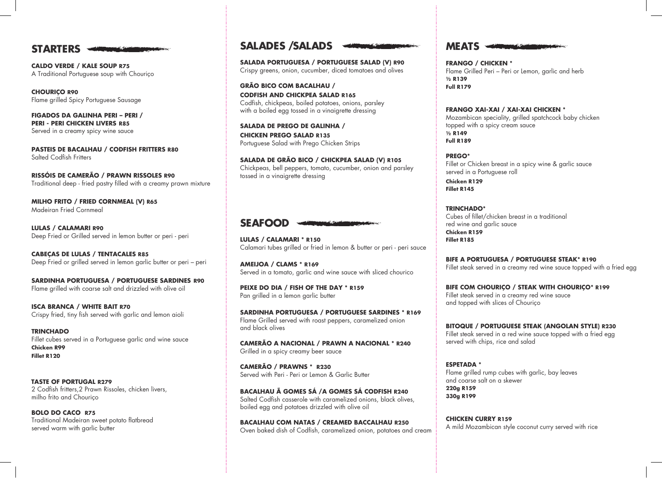## **STARTERS STARTERS STARTERS**

**CALDO VERDE / KALE SOUP R75 CALDO VERDE / KALE SOUP R75 CALDO VERDE / KALE SOUP R75** A Traditional Portuguese soup with Chouriço A Traditional Portuguese soup with Chouriço A Traditional Portuguese soup with Chouriço

**CHOURIÇO R90 CHOURIÇO R90 CHOURIÇO R90** Flame grilled Spicy Portuguese Sausage Flame grilled Spicy Portuguese Sausage Flame grilled Spicy Portuguese Sausage

**FIGADOS DA GALINHA PERI – PERI / FIGADOS DA GALINHA PERI – PERI / FIGADOS DA GALINHA PERI – PERI / PERI - PERI CHICKEN LIVERS R85 PERI - PERI CHICKEN LIVERS R85 PERI - PERI CHICKEN LIVERS R85** Served in a creamy spicy wine sauce Served in a creamy spicy wine sauce Served in a creamy spicy winesauce

**PASTEIS DE BACALHAU / CODFISH FRITTERS R80 PASTEIS DE BACALHAU / CODFISH FRITTERS R80 PASTEIS DE BACALHAU / CODFISH FRITTERS R80** Salted Codfish Fritters Salted Codfish Fritters Salted Codfish Fritters

**RISSÓIS DE CAMERÃO / PRAWN RISSOLES R90 RISSÓIS DE CAMERÃO / PRAWN RISSOLES R90 RISSÓIS DE CAMERÃO / PRAWN RISSOLES R90** Traditional deep - fried pastry filled with a creamy prawn mixture Traditional deep - fried pastry filled with a creamy prawn mixture Traditional deep - fried pastry filled with a creamy prawn mixture

**MILHO FRITO / FRIED CORNMEAL (V) R65 MILHO FRITO / FRIED CORNMEAL (V) R65 MILHO FRITO / FRIED CORNMEAL (V) R65** Madeiran Fried Cornmeal Madeiran Fried Cornmeal Madeiran Fried Cornmeal

**LULAS / CALAMARI R90 LULAS / CALAMARI R90 LULAS / CALAMARI** Deep Fried or Grilled served in lemon butter or peri - peri Deep Fried or Grilled served in lemon butter or peri - peri Deep Fried or Grilled served in lemon butter or peri - peri

**CABEÇAS DE LULAS / TENTACALES R85 CABEÇAS DE LULAS / TENTACALES R85 CABEÇAS DE LULAS / TENTACALES R85** Deep Fried or grilled served in lemon garlic butter or peri – peri Deep Fried or grilled served in lemon garlic butter or peri – peri Deep Fried or grilled served in lemon garlic butter or peri – peri

**SARDINHA PORTUGUESA / PORTUGUESE SARDINES R90 SARDINHA PORTUGUESA / PORTUGUESE SARDINES R90 SARDINHA PORTUGUESA / PORTUGUESE SARDINES R90** Flame grilled with coarse salt and drizzled with olive oil Flame grilled with coarse salt and drizzled with olive oil Flame grilled with coarse salt and drizzled with olive oil

**ISCA BRANCA / WHITE BAIT R70 ISCA BRANCA / WHITE BAIT R70 ISCA BRANCA / WHITE BAIT**  Crispy fried, tiny fish served with garlic and lemon aioli Crispy fried, tiny fish served with garlic and lemon aioli Crispy fried, tiny fish served with garlic and lemon aioli

**TRINCHADO TRINCHADO TRINCHADO** Fillet cubes served in a Portuguese garlic and wine sauce Fillet cubes served in a Portuguese garlic and wine sauce Fillet cubes served in a Portuguese garlic and wine sauce **Chicken R99 Chicken R99 Chicken R99 Fillet R120 Fillet R120 Fillet R120**

 **TASTE OF PORTUGAL R279 TASTE OF PORTUGAL R279 TASTE OF PORTUGAL R279** 2 Codfish fritters,2 Prawn Rissoles, chicken livers, 2 Codfish fritters,2 Prawn Rissoles, chicken livers, 2 Codfish fritters,2 Prawn Rissoles, chicken livers, milho frito and Chouriço milho frito and Chouriço milho frito and Chouriço

**BOLO DO CACO R75 BOLO DO CACO R75 BOLO DO CACO R75** Traditional Madeiran sweet potato flatbread Traditional Madeiran sweet potato flatbread Traditional Madeiran sweet potato flatbread served warm with garlic butter served warm with garlic butter served warm with garlic butter

## **SALADES /SALADS SALADES /SALADS SALADES /SALADS**

**SALADA PORTUGUESA / PORTUGUESE SALAD (V) R90 SALADA PORTUGUESA / PORTUGUESE SALAD (V) R90 SALADA PORTUGUESA / PORTUGUESE SALAD (V) R90** Crispy greens, onion, cucumber, diced tomatoes and olives Crispy greens, onion, cucumber, diced tomatoes and olives Crispy greens, onion, cucumber, diced tomatoes and olives

**GRÃO BICO COM BACALHAU / GRÃO BICO COM BACALHAU / GRÃO BICO COM BACALHAU / CODFISH AND CHICKPEA SALAD R165 CODFISH AND CHICKPEA SALAD R165 CODFISH AND CHICKPEA SALAD R165** Codfish, chickpeas, boiled potatoes, onions, parsley Codfish, chickpeas, boiled potatoes, onions, parsley Codfish, chickpeas, boiled potatoes, onions, parsley with a boiled egg tossed in a vinaigrette dressing with a boiled egg tossed in a vinaigrette dressing with a boiled egg tossed in a vinaigrette dressing

**SALADA DE PREGO DE GALINHA / SALADA DE PREGO DE GALINHA / SALADA DE PREGO DE GALINHA / CHICKEN PREGO SALAD R135 CHICKEN PREGO SALAD R135 CHICKEN PREGO SALAD R135** Portuguese Salad with Prego Chicken Strips Portuguese Salad with Prego Chicken Strips Portuguese Salad with Prego Chicken Strips

**SALADA DE GRÃO BICO / CHICKPEA SALAD (V) R105 SALADA DE GRÃO BICO / CHICKPEA SALAD (V) R105 SALADA DE GRÃO BICO / CHICKPEA SALAD (V) R105** Chickpeas, bell peppers, tomato, cucumber, onion and parsley Chickpeas, bell peppers, tomato, cucumber, onion and parsley Chickpeas, bell peppers, tomato, cucumber, onion and parsley tossed in a vinaigrette dressing tossed in a vinaigrette dressing tossed in a vinaigrette dressing

# **SEAFOOD SEAFOOD SEAFOOD**

**LULAS / CALAMARI \* R150 LULAS / CALAMARI \* R150 LULAS / CALAMARI \* R150** Calamari tubes grilled or fried in lemon & butter or peri - peri sauce Calamari tubes grilled or fried in lemon & butter or peri - peri sauce Calamari tubes grilled or fried in lemon & butter or peri - peri sauce

**AMEIJOA / CLAMS \* R169 AMEIJOA / CLAMS \* R169 AMEIJOA / CLAMS \* R169** Served in a tomato, garlic and wine sauce with sliced chourico Served in a tomato, garlic and wine sauce with sliced chourico Served in a tomato, garlic and wine sauce with sliced chourico

**PEIXE DO DIA / FISH OF THE DAY \* R159 PEIXE DO DIA / FISH OF THE DAY \* R159 PEIXE DO DIA / FISH OF THE DAY \* R159** Pan grilled in a lemon garlic butter Pan grilled in a lemon garlic butter Pan grilled in a lemon garlic butter

**SARDINHA PORTUGUESA / PORTUGUESE SARDINES \* R169 SARDINHA PORTUGUESA / PORTUGUESE SARDINES \* R169 SARDINHA PORTUGUESA / PORTUGUESE SARDINES \* R169** Flame Grilled served with roast peppers, caramelized onion Flame Grilled served with roast peppers, caramelized onion Flame Grilled served with roast peppers, caramelized onion and black olives and black olives and black olives

**CAMERÃO A NACIONAL / PRAWN A NACIONAL \* R240 CAMERÃO A NACIONAL / PRAWN A NACIONAL \* R240 CAMERÃO A NACIONAL / PRAWN A NACIONAL \* R240** Grilled in a spicy creamy beer sauce Grilled in a spicy creamy beer sauce Grilled in a spicy creamy beer sauce

**CAMERÃO / PRAWNS \* R230 CAMERÃO / PRAWNS \* R230 CAMERÃO / PRAWNS \* R230** Served with Peri - Peri or Lemon & Garlic Butter Served with Peri - Peri or Lemon & Garlic Butter Served with Peri - Peri or Lemon & Garlic Butter

**BACALHAU Ã GOMES SÁ /A GOMES SÁ CODFISH R240 BACALHAU Ã GOMES SÁ /A GOMES SÁ CODFISH R240 BACALHAU Ã GOMES SÁ /A GOMES SÁ CODFISH R240** Salted Codfish casserole with caramelized onions, black olives, Salted Codfish casserole with caramelized onions, black olives, Salted Codfish casserole with caramelized onions, black olives, boiled egg and potatoes drizzled with olive oil boiled egg and potatoes drizzled with olive oil boiled egg and potatoes drizzled with olive oil

**BACALHAU COM NATAS / CREAMED BACCALHAU R250 BACALHAU COM NATAS / CREAMED BACCALHAU R250 BACALHAU COM NATAS / CREAMED BACCALHAU R250** Oven baked dish of Codfish, caramelized onion, potatoes and cream Oven baked dish of Codfish, caramelized onion, potatoes and cream Oven baked dish of Codfish, caramelized onion, potatoes and cream



**FRANGO / CHICKEN \* FRANGO / CHICKEN \* FRANGO / CHICKEN \*** Flame Grilled Peri – Peri or Lemon, garlic and herb Flame Grilled Peri – Peri or Lemon, garlic and herb Flame Grilled Peri – Peri or Lemon, garlic and herb **½ R139 ½ R139 ½ R139 Full R179 Full R179 Full R179**

**FRANGO XAI-XAI / XAI-XAI CHICKEN \* FRANGO XAI-XAI / XAI-XAI CHICKEN \* FRANGO XAI-XAI / XAI-XAI CHICKEN \*** Mozambican speciality, grilled spatchcock baby chicken Mozambican speciality, grilled spatchcock baby chicken Mozambican speciality, grilled spatchcock baby chicken topped with a spicy cream sauce topped with a spicy cream sauce topped with a spicy cream sauce **½ R149 ½ R149 ½ R149 Full R189 Full R189 Full R189**

**PREGO\* PREGO\* PREGO\*** Fillet or Chicken breast in a spicy wine & garlic sauce Fillet or Chicken breast in a spicy wine & garlic sauce Fillet or Chicken breast in a spicy wine & garlic sauce served in a Portuguese roll served in a Portuguese roll served in a Portuguese roll

**Chicken R129 Chicken R129 Chicken R129 Fillet R145 Fillet R145 Fillet R145**

**TRINCHADO\* TRINCHADO\* TRINCHADO\*** Cubes of fillet/chicken breast in a traditional Cubes of fillet/chicken breast in a traditional Cubes of fillet/chicken breast in a traditional red wine and garlic sauce red wine and garlic sauce red wine and garlic sauce **Chicken R159 Chicken R159 Chicken R159 Fillet R185 Fillet R185 Fillet R185**

**BIFE A PORTUGUESA / PORTUGUESE STEAK\* R190 BIFE A PORTUGUESA / PORTUGUESE STEAK\* R190 BIFE A PORTUGUESA / PORTUGUESE STEAK\* R190** Fillet steak served in a creamy red wine sauce topped with a fried egg Fillet steak served in a creamy red wine sauce topped with a fried egg Fillet steak served in a creamy red wine sauce topped with a fried egg

**BIFE COM CHOURIÇO / STEAK WITH CHOURIÇO\* R199 BIFE COM CHOURIÇO / STEAK WITH CHOURIÇO\* R199 BIFE COM CHOURIÇO / STEAK WITH CHOURIÇO\* R199** Fillet steak served in a creamy red wine sauce Fillet steak served in a creamy red wine sauce Fillet steak served in a creamy red wine sauce and topped with slices of Chouriço and topped with slices of Chouriço and topped with slices of Chouriço

**BITOQUE / PORTUGUESE STEAK (ANGOLAN STYLE) R230 BITOQUE / PORTUGUESE STEAK (ANGOLAN STYLE) R230 BITOQUE / PORTUGUESE STEAK (ANGOLAN STYLE) R230** Fillet steak served in a red wine sauce topped with a fried egg<br>served with chips, rice and salad served with chips, rice and salad served with chips, rice and salad

**ESPETADA \* ESPETADA \* ESPETADA \*** Flame grilled rump cubes with garlic, bay leaves Flame grilled rump cubes with garlic, bay leaves Flame grilled rump cubes with garlic, bay leaves and coarse salt on a skewer and coarse salt on a skewer and coarse salt on a skewer **220g R159 220g R159 220g R159 330g R199 330g R199 330g R199**

**CHICKEN CURRY R159 CHICKEN CURRY R159 CHICKEN CURRY R159** A mild Mozambican style coconut curry served with rice A mild Mozambican style coconut curry served with rice A mild Mozambican style coconut curry served with rice